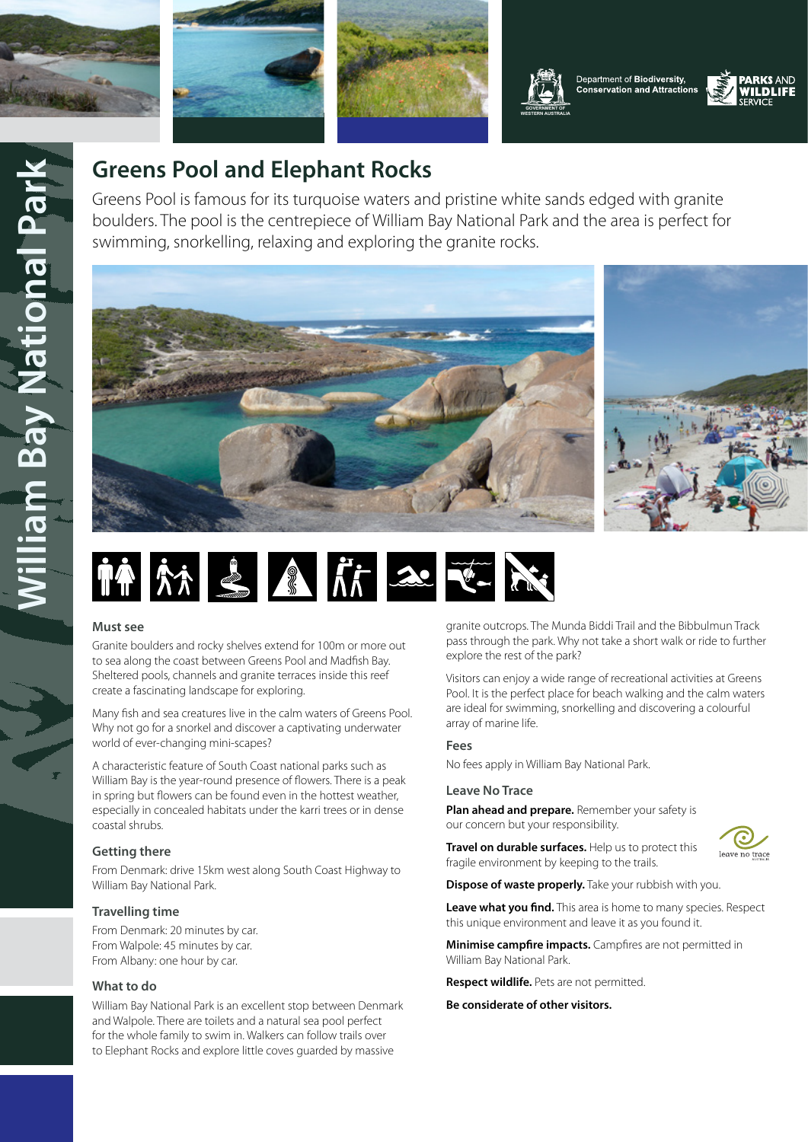

**William Bay National Park**

**Filliam Bay National Park** 







**[WESTERN AUSTRALIA](https://www.dpaw.wa.gov.au/)**

Department of Biodiversity, **Conservation and Attractions** 



# **Greens Pool and Elephant Rocks**

Greens Pool is famous for its turquoise waters and pristine white sands edged with granite boulders. The pool is the centrepiece of William Bay National Park and the area is perfect for swimming, snorkelling, relaxing and exploring the granite rocks.





## **Must see**

Granite boulders and rocky shelves extend for 100m or more out to sea along the coast between Greens Pool and Madfish Bay. Sheltered pools, channels and granite terraces inside this reef create a fascinating landscape for exploring.

Many fish and sea creatures live in the calm waters of Greens Pool. Why not go for a snorkel and discover a captivating underwater world of ever-changing mini-scapes?

A characteristic feature of South Coast national parks such as William Bay is the year-round presence of flowers. There is a peak in spring but flowers can be found even in the hottest weather, especially in concealed habitats under the karri trees or in dense coastal shrubs.

# **Getting there**

From Denmark: drive 15km west along South Coast Highway to William Bay National Park.

# **Travelling time**

From Denmark: 20 minutes by car. From Walpole: 45 minutes by car. From Albany: one hour by car.

# **What to do**

William Bay National Park is an excellent stop between Denmark and Walpole. There are toilets and a natural sea pool perfect for the whole family to swim in. Walkers can follow trails over to Elephant Rocks and explore little coves guarded by massive

granite outcrops. The Munda Biddi Trail and the Bibbulmun Track pass through the park. Why not take a short walk or ride to further explore the rest of the park?

Visitors can enjoy a wide range of recreational activities at Greens Pool. It is the perfect place for beach walking and the calm waters are ideal for swimming, snorkelling and discovering a colourful array of marine life.

# **Fees**

No fees apply in William Bay National Park.

## **Leave No Trace**

**Plan ahead and prepare.** Remember your safety is our concern but your responsibility.

**Travel on durable surfaces.** Help us to protect this



fragile environment by keeping to the trails. **Dispose of waste properly.** Take your rubbish with you.

**Leave what you find.** This area is home to many species. Respect this unique environment and leave it as you found it.

**Minimise campfire impacts.** Campfires are not permitted in William Bay National Park.

**Respect wildlife.** Pets are not permitted.

**Be considerate of other visitors.**